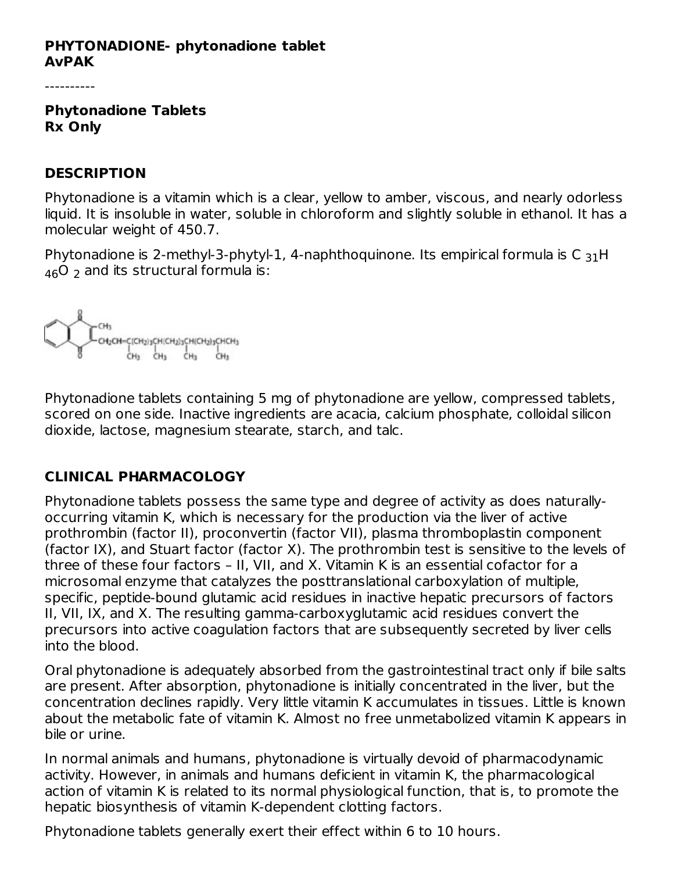#### **PHYTONADIONE- phytonadione tablet AvPAK**

----------

**Phytonadione Tablets Rx Only**

#### **DESCRIPTION**

Phytonadione is a vitamin which is a clear, yellow to amber, viscous, and nearly odorless liquid. It is insoluble in water, soluble in chloroform and slightly soluble in ethanol. It has a molecular weight of 450.7.

Phytonadione is 2-methyl-3-phytyl-1, 4-naphthoquinone. Its empirical formula is C  $_{31}$ H  $_{46}$ O  $_{2}$  and its structural formula is:



Phytonadione tablets containing 5 mg of phytonadione are yellow, compressed tablets, scored on one side. Inactive ingredients are acacia, calcium phosphate, colloidal silicon dioxide, lactose, magnesium stearate, starch, and talc.

# **CLINICAL PHARMACOLOGY**

Phytonadione tablets possess the same type and degree of activity as does naturallyoccurring vitamin K, which is necessary for the production via the liver of active prothrombin (factor II), proconvertin (factor VII), plasma thromboplastin component (factor IX), and Stuart factor (factor X). The prothrombin test is sensitive to the levels of three of these four factors – II, VII, and X. Vitamin K is an essential cofactor for a microsomal enzyme that catalyzes the posttranslational carboxylation of multiple, specific, peptide-bound glutamic acid residues in inactive hepatic precursors of factors II, VII, IX, and X. The resulting gamma-carboxyglutamic acid residues convert the precursors into active coagulation factors that are subsequently secreted by liver cells into the blood.

Oral phytonadione is adequately absorbed from the gastrointestinal tract only if bile salts are present. After absorption, phytonadione is initially concentrated in the liver, but the concentration declines rapidly. Very little vitamin K accumulates in tissues. Little is known about the metabolic fate of vitamin K. Almost no free unmetabolized vitamin K appears in bile or urine.

In normal animals and humans, phytonadione is virtually devoid of pharmacodynamic activity. However, in animals and humans deficient in vitamin K, the pharmacological action of vitamin K is related to its normal physiological function, that is, to promote the hepatic biosynthesis of vitamin K-dependent clotting factors.

Phytonadione tablets generally exert their effect within 6 to 10 hours.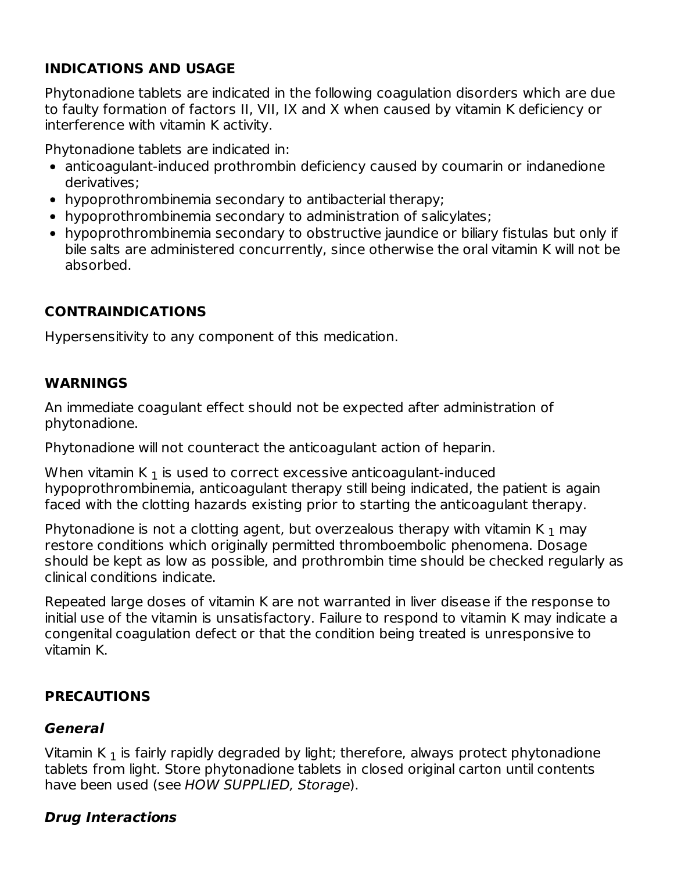# **INDICATIONS AND USAGE**

Phytonadione tablets are indicated in the following coagulation disorders which are due to faulty formation of factors II, VII, IX and X when caused by vitamin K deficiency or interference with vitamin K activity.

Phytonadione tablets are indicated in:

- anticoagulant-induced prothrombin deficiency caused by coumarin or indanedione derivatives;
- hypoprothrombinemia secondary to antibacterial therapy;
- hypoprothrombinemia secondary to administration of salicylates;
- hypoprothrombinemia secondary to obstructive jaundice or biliary fistulas but only if bile salts are administered concurrently, since otherwise the oral vitamin K will not be absorbed.

### **CONTRAINDICATIONS**

Hypersensitivity to any component of this medication.

#### **WARNINGS**

An immediate coagulant effect should not be expected after administration of phytonadione.

Phytonadione will not counteract the anticoagulant action of heparin.

When vitamin K  $_{\rm 1}$  is used to correct excessive anticoagulant-induced hypoprothrombinemia, anticoagulant therapy still being indicated, the patient is again faced with the clotting hazards existing prior to starting the anticoagulant therapy.

Phytonadione is not a clotting agent, but overzealous therapy with vitamin K  $_{\rm 1}$  may restore conditions which originally permitted thromboembolic phenomena. Dosage should be kept as low as possible, and prothrombin time should be checked regularly as clinical conditions indicate.

Repeated large doses of vitamin K are not warranted in liver disease if the response to initial use of the vitamin is unsatisfactory. Failure to respond to vitamin K may indicate a congenital coagulation defect or that the condition being treated is unresponsive to vitamin K.

#### **PRECAUTIONS**

#### **General**

Vitamin K  $_{\rm 1}$  is fairly rapidly degraded by light; therefore, always protect phytonadione tablets from light. Store phytonadione tablets in closed original carton until contents have been used (see HOW SUPPLIED, Storage).

#### **Drug Interactions**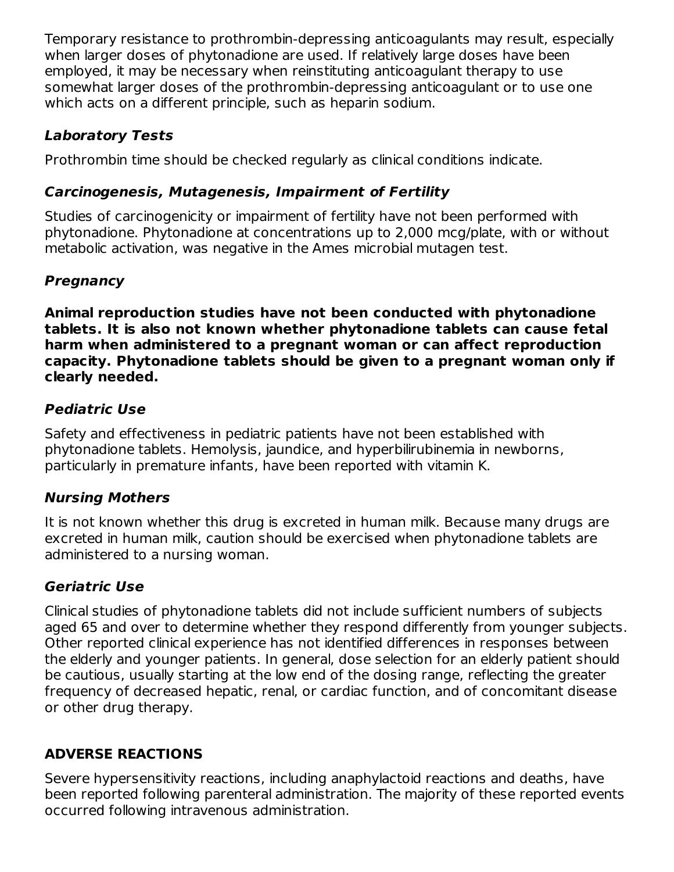Temporary resistance to prothrombin-depressing anticoagulants may result, especially when larger doses of phytonadione are used. If relatively large doses have been employed, it may be necessary when reinstituting anticoagulant therapy to use somewhat larger doses of the prothrombin-depressing anticoagulant or to use one which acts on a different principle, such as heparin sodium.

## **Laboratory Tests**

Prothrombin time should be checked regularly as clinical conditions indicate.

## **Carcinogenesis, Mutagenesis, Impairment of Fertility**

Studies of carcinogenicity or impairment of fertility have not been performed with phytonadione. Phytonadione at concentrations up to 2,000 mcg/plate, with or without metabolic activation, was negative in the Ames microbial mutagen test.

## **Pregnancy**

**Animal reproduction studies have not been conducted with phytonadione tablets. It is also not known whether phytonadione tablets can cause fetal harm when administered to a pregnant woman or can affect reproduction capacity. Phytonadione tablets should be given to a pregnant woman only if clearly needed.**

# **Pediatric Use**

Safety and effectiveness in pediatric patients have not been established with phytonadione tablets. Hemolysis, jaundice, and hyperbilirubinemia in newborns, particularly in premature infants, have been reported with vitamin K.

### **Nursing Mothers**

It is not known whether this drug is excreted in human milk. Because many drugs are excreted in human milk, caution should be exercised when phytonadione tablets are administered to a nursing woman.

# **Geriatric Use**

Clinical studies of phytonadione tablets did not include sufficient numbers of subjects aged 65 and over to determine whether they respond differently from younger subjects. Other reported clinical experience has not identified differences in responses between the elderly and younger patients. In general, dose selection for an elderly patient should be cautious, usually starting at the low end of the dosing range, reflecting the greater frequency of decreased hepatic, renal, or cardiac function, and of concomitant disease or other drug therapy.

# **ADVERSE REACTIONS**

Severe hypersensitivity reactions, including anaphylactoid reactions and deaths, have been reported following parenteral administration. The majority of these reported events occurred following intravenous administration.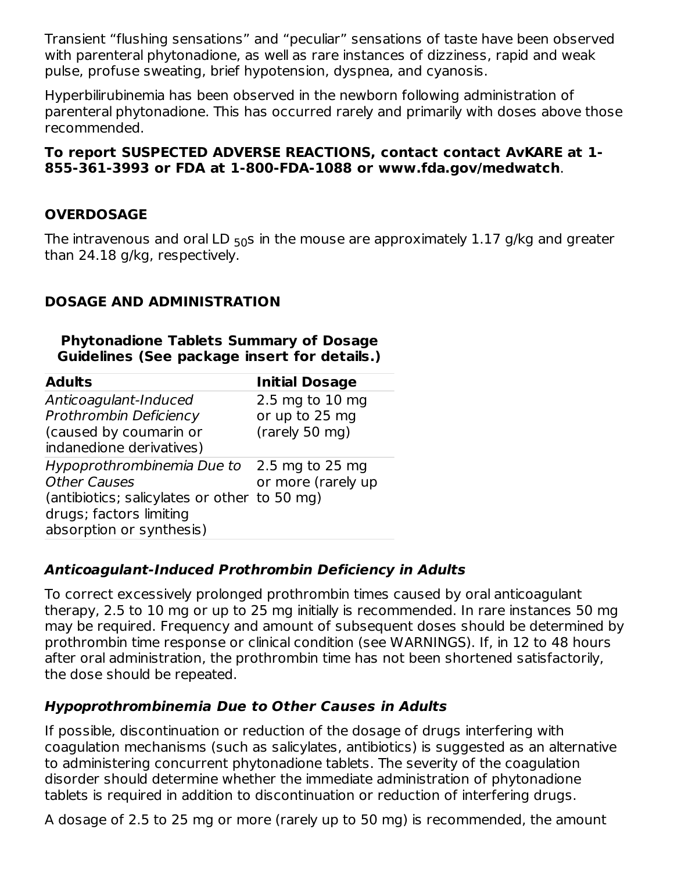Transient "flushing sensations" and "peculiar" sensations of taste have been observed with parenteral phytonadione, as well as rare instances of dizziness, rapid and weak pulse, profuse sweating, brief hypotension, dyspnea, and cyanosis.

Hyperbilirubinemia has been observed in the newborn following administration of parenteral phytonadione. This has occurred rarely and primarily with doses above those recommended.

### **To report SUSPECTED ADVERSE REACTIONS, contact contact AvKARE at 1- 855-361-3993 or FDA at 1-800-FDA-1088 or www.fda.gov/medwatch**.

## **OVERDOSAGE**

The intravenous and oral LD  $_{50}$ s in the mouse are approximately  $1.17$  g/kg and greater than 24.18 g/kg, respectively.

### **DOSAGE AND ADMINISTRATION**

| <b>Phytonadione Tablets Summary of Dosage</b> |  |  |  |
|-----------------------------------------------|--|--|--|
| Guidelines (See package insert for details.)  |  |  |  |

| <b>Adults</b>                                | <b>Initial Dosage</b> |
|----------------------------------------------|-----------------------|
| Anticoagulant-Induced                        | 2.5 mg to 10 mg       |
| <b>Prothrombin Deficiency</b>                | or up to 25 mg        |
| (caused by coumarin or                       | (rarely 50 mg)        |
| indanedione derivatives)                     |                       |
| Hypoprothrombinemia Due to 2.5 mg to 25 mg   |                       |
| <b>Other Causes</b>                          | or more (rarely up    |
| (antibiotics; salicylates or other to 50 mg) |                       |
| drugs; factors limiting                      |                       |
| absorption or synthesis)                     |                       |

### **Anticoagulant-Induced Prothrombin Deficiency in Adults**

To correct excessively prolonged prothrombin times caused by oral anticoagulant therapy, 2.5 to 10 mg or up to 25 mg initially is recommended. In rare instances 50 mg may be required. Frequency and amount of subsequent doses should be determined by prothrombin time response or clinical condition (see WARNINGS). If, in 12 to 48 hours after oral administration, the prothrombin time has not been shortened satisfactorily, the dose should be repeated.

### **Hypoprothrombinemia Due to Other Causes in Adults**

If possible, discontinuation or reduction of the dosage of drugs interfering with coagulation mechanisms (such as salicylates, antibiotics) is suggested as an alternative to administering concurrent phytonadione tablets. The severity of the coagulation disorder should determine whether the immediate administration of phytonadione tablets is required in addition to discontinuation or reduction of interfering drugs.

A dosage of 2.5 to 25 mg or more (rarely up to 50 mg) is recommended, the amount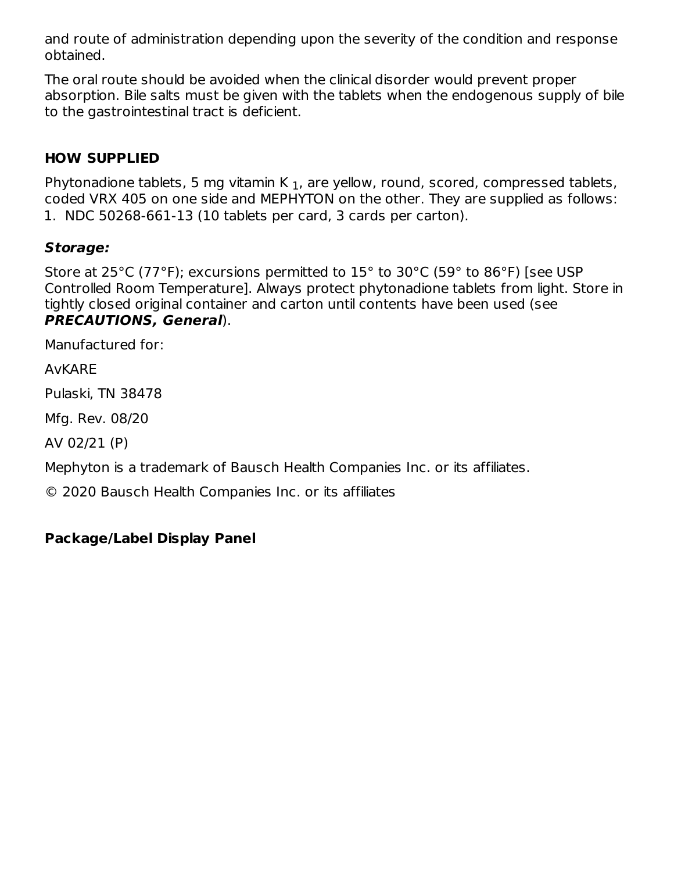and route of administration depending upon the severity of the condition and response obtained.

The oral route should be avoided when the clinical disorder would prevent proper absorption. Bile salts must be given with the tablets when the endogenous supply of bile to the gastrointestinal tract is deficient.

## **HOW SUPPLIED**

Phytonadione tablets, 5 mg vitamin K  $_{\rm 1}$ , are yellow, round, scored, compressed tablets, coded VRX 405 on one side and MEPHYTON on the other. They are supplied as follows: 1. NDC 50268-661-13 (10 tablets per card, 3 cards per carton).

### **Storage:**

Store at 25°C (77°F); excursions permitted to 15° to 30°C (59° to 86°F) [see USP Controlled Room Temperature]. Always protect phytonadione tablets from light. Store in tightly closed original container and carton until contents have been used (see **PRECAUTIONS, General**).

Manufactured for:

AvKARE

Pulaski, TN 38478

Mfg. Rev. 08/20

AV 02/21 (P)

Mephyton is a trademark of Bausch Health Companies Inc. or its affiliates.

© 2020 Bausch Health Companies Inc. or its affiliates

### **Package/Label Display Panel**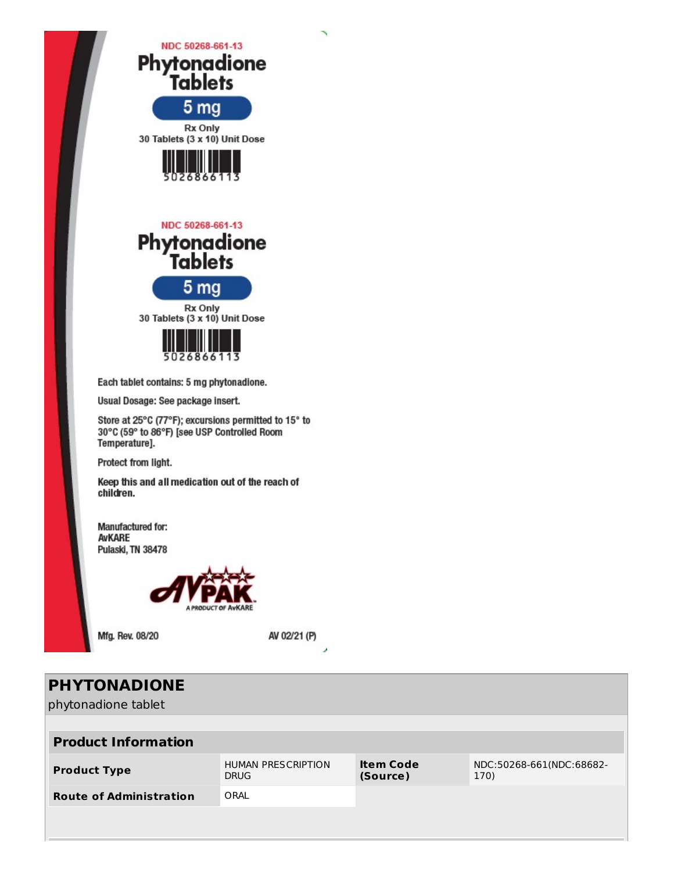

| <b>PHYTONADIONE</b><br>phytonadione tablet |                                          |                              |                                  |
|--------------------------------------------|------------------------------------------|------------------------------|----------------------------------|
| <b>Product Information</b>                 |                                          |                              |                                  |
| <b>Product Type</b>                        | <b>HUMAN PRESCRIPTION</b><br><b>DRUG</b> | <b>Item Code</b><br>(Source) | NDC:50268-661(NDC:68682-<br>170) |
| <b>Route of Administration</b>             | ORAL                                     |                              |                                  |
|                                            |                                          |                              |                                  |